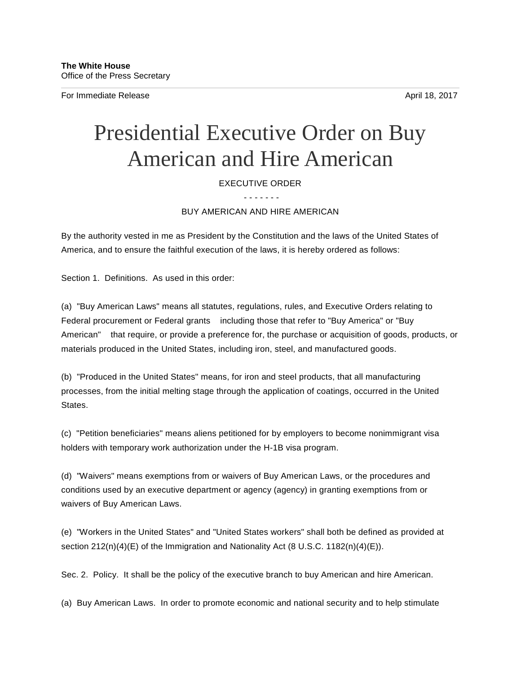For Immediate Release April 18, 2017

## Presidential Executive Order on Buy American and Hire American

## EXECUTIVE ORDER

- - - - - - -

BUY AMERICAN AND HIRE AMERICAN

By the authority vested in me as President by the Constitution and the laws of the United States of America, and to ensure the faithful execution of the laws, it is hereby ordered as follows:

Section 1. Definitions. As used in this order:

(a) "Buy American Laws" means all statutes, regulations, rules, and Executive Orders relating to Federal procurement or Federal grants including those that refer to "Buy America" or "Buy American" that require, or provide a preference for, the purchase or acquisition of goods, products, or materials produced in the United States, including iron, steel, and manufactured goods.

(b) "Produced in the United States" means, for iron and steel products, that all manufacturing processes, from the initial melting stage through the application of coatings, occurred in the United **States** 

(c) "Petition beneficiaries" means aliens petitioned for by employers to become nonimmigrant visa holders with temporary work authorization under the H-1B visa program.

(d) "Waivers" means exemptions from or waivers of Buy American Laws, or the procedures and conditions used by an executive department or agency (agency) in granting exemptions from or waivers of Buy American Laws.

(e) "Workers in the United States" and "United States workers" shall both be defined as provided at section  $212(n)(4)(E)$  of the Immigration and Nationality Act (8 U.S.C. 1182 $(n)(4)(E)$ ).

Sec. 2. Policy. It shall be the policy of the executive branch to buy American and hire American.

(a) Buy American Laws. In order to promote economic and national security and to help stimulate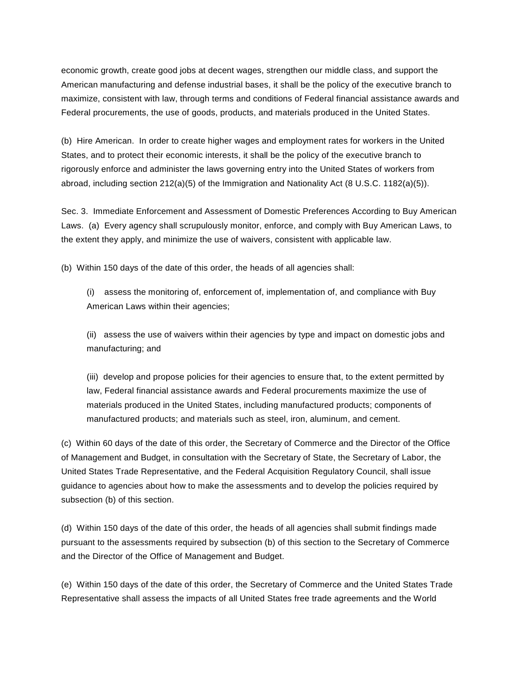economic growth, create good jobs at decent wages, strengthen our middle class, and support the American manufacturing and defense industrial bases, it shall be the policy of the executive branch to maximize, consistent with law, through terms and conditions of Federal financial assistance awards and Federal procurements, the use of goods, products, and materials produced in the United States.

(b) Hire American. In order to create higher wages and employment rates for workers in the United States, and to protect their economic interests, it shall be the policy of the executive branch to rigorously enforce and administer the laws governing entry into the United States of workers from abroad, including section 212(a)(5) of the Immigration and Nationality Act (8 U.S.C. 1182(a)(5)).

Sec. 3. Immediate Enforcement and Assessment of Domestic Preferences According to Buy American Laws. (a) Every agency shall scrupulously monitor, enforce, and comply with Buy American Laws, to the extent they apply, and minimize the use of waivers, consistent with applicable law.

(b) Within 150 days of the date of this order, the heads of all agencies shall:

(i) assess the monitoring of, enforcement of, implementation of, and compliance with Buy American Laws within their agencies;

(ii) assess the use of waivers within their agencies by type and impact on domestic jobs and manufacturing; and

(iii) develop and propose policies for their agencies to ensure that, to the extent permitted by law, Federal financial assistance awards and Federal procurements maximize the use of materials produced in the United States, including manufactured products; components of manufactured products; and materials such as steel, iron, aluminum, and cement.

(c) Within 60 days of the date of this order, the Secretary of Commerce and the Director of the Office of Management and Budget, in consultation with the Secretary of State, the Secretary of Labor, the United States Trade Representative, and the Federal Acquisition Regulatory Council, shall issue guidance to agencies about how to make the assessments and to develop the policies required by subsection (b) of this section.

(d) Within 150 days of the date of this order, the heads of all agencies shall submit findings made pursuant to the assessments required by subsection (b) of this section to the Secretary of Commerce and the Director of the Office of Management and Budget.

(e) Within 150 days of the date of this order, the Secretary of Commerce and the United States Trade Representative shall assess the impacts of all United States free trade agreements and the World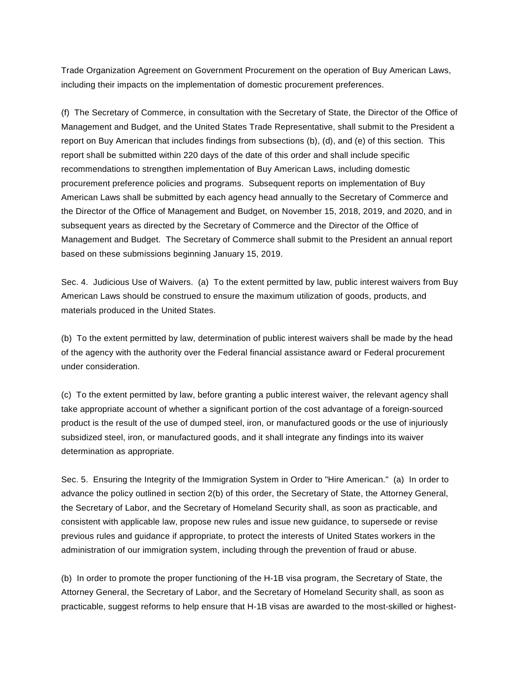Trade Organization Agreement on Government Procurement on the operation of Buy American Laws, including their impacts on the implementation of domestic procurement preferences.

(f) The Secretary of Commerce, in consultation with the Secretary of State, the Director of the Office of Management and Budget, and the United States Trade Representative, shall submit to the President a report on Buy American that includes findings from subsections (b), (d), and (e) of this section. This report shall be submitted within 220 days of the date of this order and shall include specific recommendations to strengthen implementation of Buy American Laws, including domestic procurement preference policies and programs. Subsequent reports on implementation of Buy American Laws shall be submitted by each agency head annually to the Secretary of Commerce and the Director of the Office of Management and Budget, on November 15, 2018, 2019, and 2020, and in subsequent years as directed by the Secretary of Commerce and the Director of the Office of Management and Budget. The Secretary of Commerce shall submit to the President an annual report based on these submissions beginning January 15, 2019.

Sec. 4. Judicious Use of Waivers. (a) To the extent permitted by law, public interest waivers from Buy American Laws should be construed to ensure the maximum utilization of goods, products, and materials produced in the United States.

(b) To the extent permitted by law, determination of public interest waivers shall be made by the head of the agency with the authority over the Federal financial assistance award or Federal procurement under consideration.

(c) To the extent permitted by law, before granting a public interest waiver, the relevant agency shall take appropriate account of whether a significant portion of the cost advantage of a foreign-sourced product is the result of the use of dumped steel, iron, or manufactured goods or the use of injuriously subsidized steel, iron, or manufactured goods, and it shall integrate any findings into its waiver determination as appropriate.

Sec. 5. Ensuring the Integrity of the Immigration System in Order to "Hire American." (a) In order to advance the policy outlined in section 2(b) of this order, the Secretary of State, the Attorney General, the Secretary of Labor, and the Secretary of Homeland Security shall, as soon as practicable, and consistent with applicable law, propose new rules and issue new guidance, to supersede or revise previous rules and guidance if appropriate, to protect the interests of United States workers in the administration of our immigration system, including through the prevention of fraud or abuse.

(b) In order to promote the proper functioning of the H-1B visa program, the Secretary of State, the Attorney General, the Secretary of Labor, and the Secretary of Homeland Security shall, as soon as practicable, suggest reforms to help ensure that H-1B visas are awarded to the most-skilled or highest